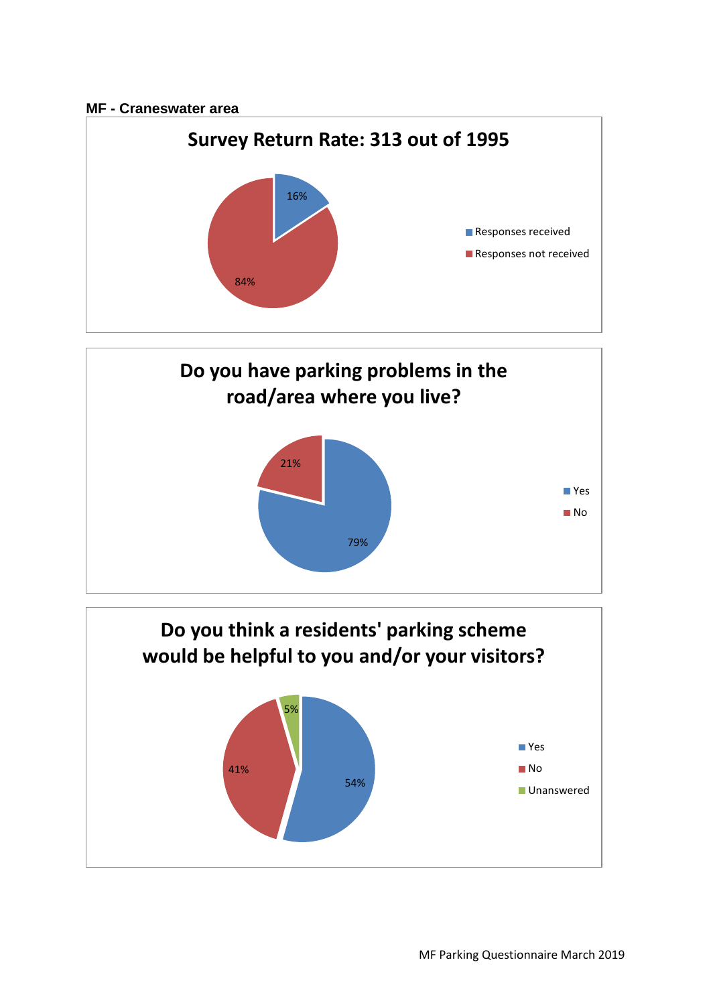## **MF - Craneswater area**





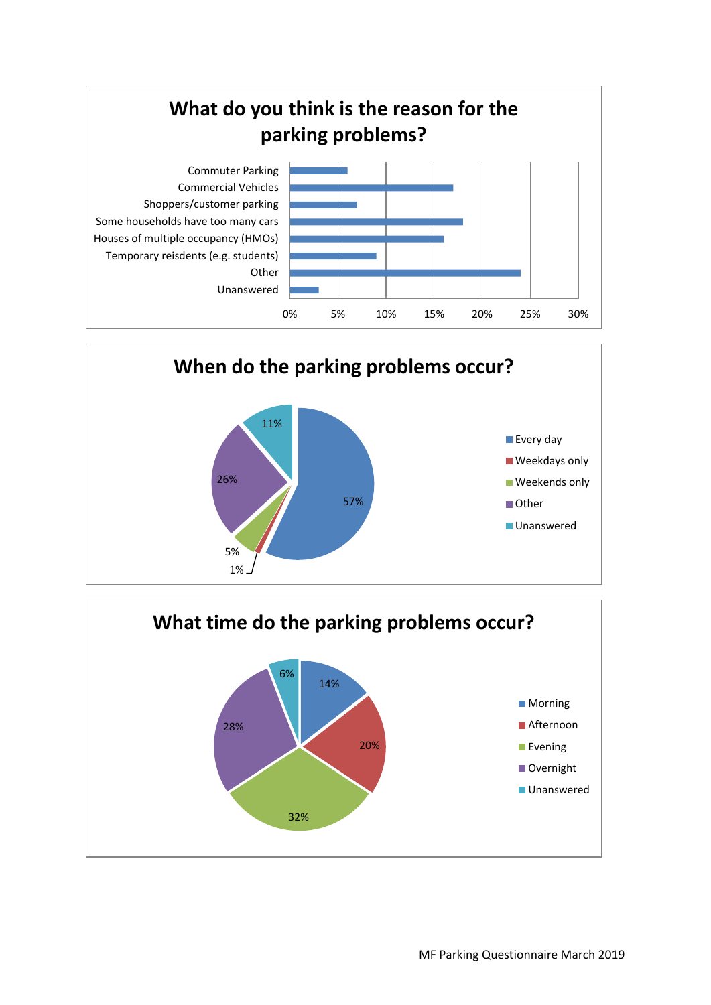



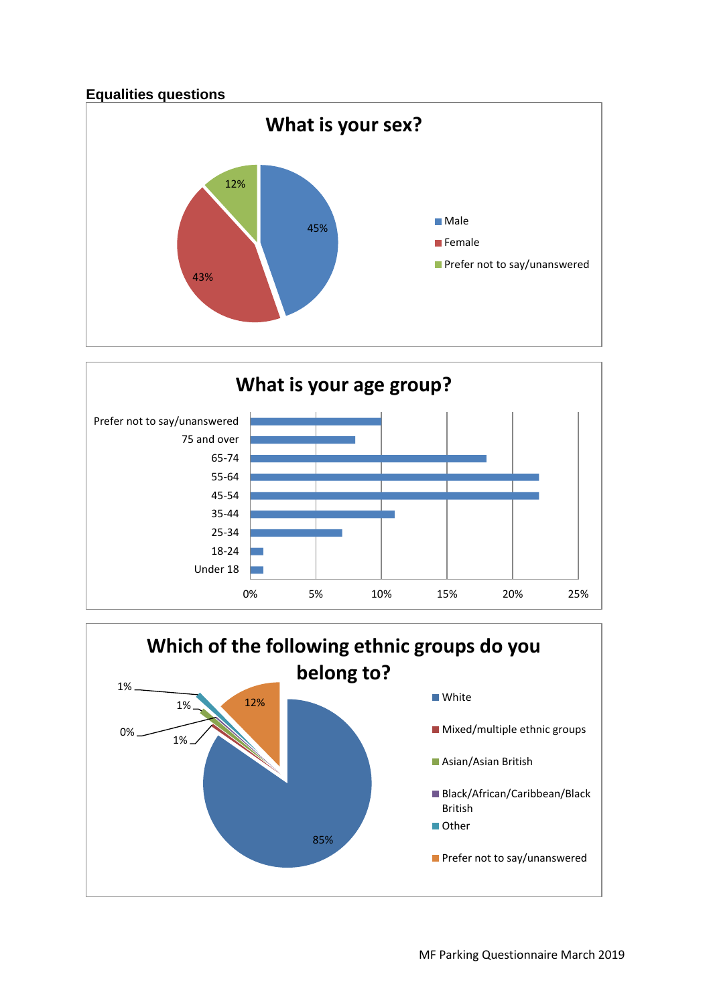



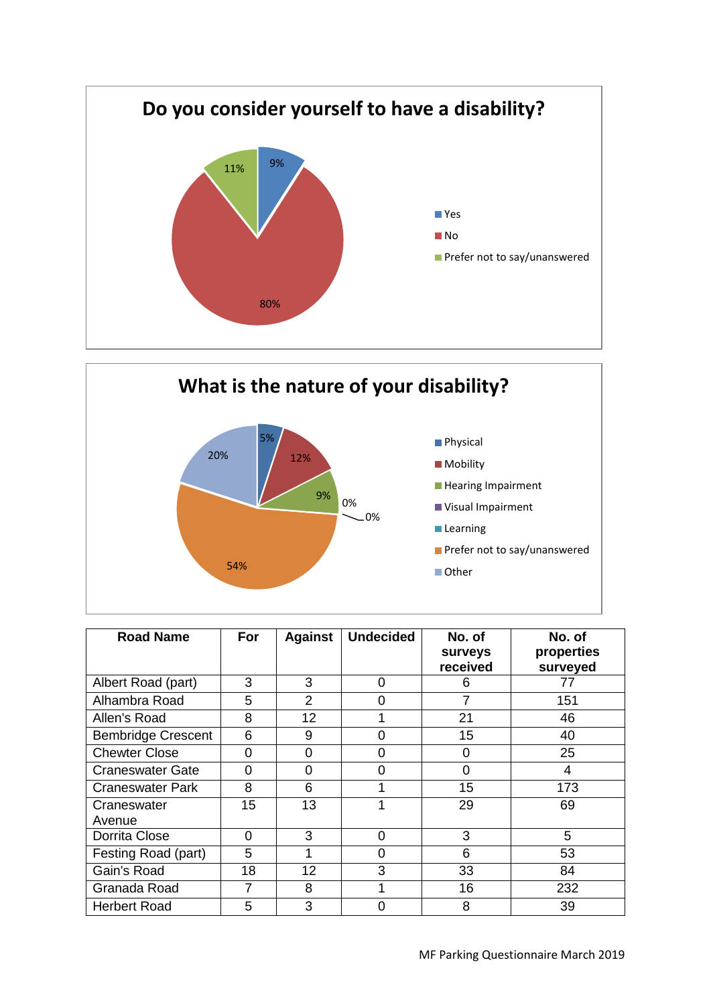



| <b>Road Name</b>          | For      | <b>Against</b>  | <b>Undecided</b> | No. of<br>surveys<br>received | No. of<br>properties<br>surveyed |
|---------------------------|----------|-----------------|------------------|-------------------------------|----------------------------------|
| Albert Road (part)        | 3        | 3               | 0                | 6                             | 77                               |
| Alhambra Road             | 5        | $\overline{2}$  | ი                | 7                             | 151                              |
| Allen's Road              | 8        | 12 <sup>2</sup> |                  | 21                            | 46                               |
| <b>Bembridge Crescent</b> | 6        | 9               | ი                | 15                            | 40                               |
| <b>Chewter Close</b>      | 0        | 0               | 0                | 0                             | 25                               |
| <b>Craneswater Gate</b>   | $\Omega$ | 0               | 0                | $\Omega$                      | 4                                |
| <b>Craneswater Park</b>   | 8        | 6               |                  | 15                            | 173                              |
| Craneswater<br>Avenue     | 15       | 13              |                  | 29                            | 69                               |
| Dorrita Close             | 0        | 3               | 0                | 3                             | 5                                |
| Festing Road (part)       | 5        | 1               | 0                | 6                             | 53                               |
| Gain's Road               | 18       | 12              | 3                | 33                            | 84                               |
| Granada Road              | 7        | 8               |                  | 16                            | 232                              |
| <b>Herbert Road</b>       | 5        | 3               | በ                | 8                             | 39                               |